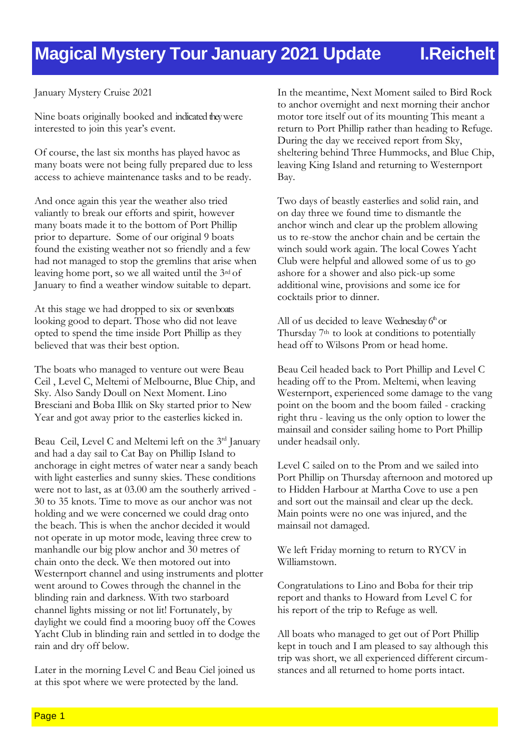January Mystery Cruise 2021

Nine boats originally booked and indicated theywere interested to join this year's event.

Of course, the last six months has played havoc as many boats were not being fully prepared due to less access to achieve maintenance tasks and to be ready.

And once again this year the weather also tried valiantly to break our efforts and spirit, however many boats made it to the bottom of Port Phillip prior to departure. Some of our original 9 boats found the existing weather not so friendly and a few had not managed to stop the gremlins that arise when leaving home port, so we all waited until the 3rd of January to find a weather window suitable to depart.

At this stage we had dropped to six or sevenboats looking good to depart. Those who did not leave opted to spend the time inside Port Phillip as they believed that was their best option.

The boats who managed to venture out were Beau Ceil , Level C, Meltemi of Melbourne, Blue Chip, and Sky. Also Sandy Doull on Next Moment. Lino Bresciani and Boba Illik on Sky started prior to New Year and got away prior to the easterlies kicked in.

Beau Ceil, Level C and Meltemi left on the  $3<sup>rd</sup>$  January and had a day sail to Cat Bay on Phillip Island to anchorage in eight metres of water near a sandy beach with light easterlies and sunny skies. These conditions were not to last, as at 03.00 am the southerly arrived - 30 to 35 knots. Time to move as our anchor was not holding and we were concerned we could drag onto the beach. This is when the anchor decided it would not operate in up motor mode, leaving three crew to manhandle our big plow anchor and 30 metres of chain onto the deck. We then motored out into Westernport channel and using instruments and plotter went around to Cowes through the channel in the blinding rain and darkness. With two starboard channel lights missing or not lit! Fortunately, by daylight we could find a mooring buoy off the Cowes Yacht Club in blinding rain and settled in to dodge the rain and dry off below.

Later in the morning Level C and Beau Ciel joined us at this spot where we were protected by the land.

In the meantime, Next Moment sailed to Bird Rock to anchor overnight and next morning their anchor motor tore itself out of its mounting This meant a return to Port Phillip rather than heading to Refuge. During the day we received report from Sky, sheltering behind Three Hummocks, and Blue Chip, leaving King Island and returning to Westernport Bay.

Two days of beastly easterlies and solid rain, and on day three we found time to dismantle the anchor winch and clear up the problem allowing us to re-stow the anchor chain and be certain the winch sould work again. The local Cowes Yacht Club were helpful and allowed some of us to go ashore for a shower and also pick-up some additional wine, provisions and some ice for cocktails prior to dinner.

All of us decided to leave Wednesday  $6<sup>th</sup>$  or Thursday 7<sup>th</sup> to look at conditions to potentially head off to Wilsons Prom or head home.

Beau Ceil headed back to Port Phillip and Level C heading off to the Prom. Meltemi, when leaving Westernport, experienced some damage to the vang point on the boom and the boom failed - cracking right thru - leaving us the only option to lower the mainsail and consider sailing home to Port Phillip under headsail only.

Level C sailed on to the Prom and we sailed into Port Phillip on Thursday afternoon and motored up to Hidden Harbour at Martha Cove to use a pen and sort out the mainsail and clear up the deck. Main points were no one was injured, and the mainsail not damaged.

We left Friday morning to return to RYCV in Williamstown.

Congratulations to Lino and Boba for their trip report and thanks to Howard from Level C for his report of the trip to Refuge as well.

All boats who managed to get out of Port Phillip kept in touch and I am pleased to say although this trip was short, we all experienced different circumstances and all returned to home ports intact.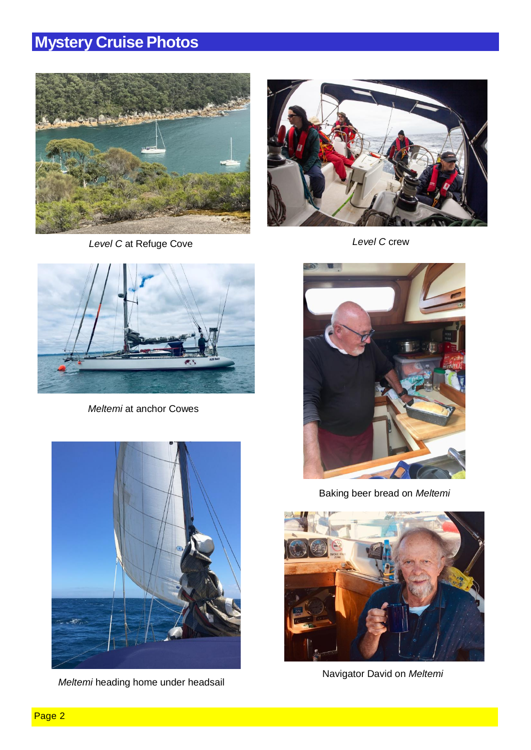## **Mystery Cruise Photos**









*Meltemi* at anchor Cowes



*Meltemi* heading home under headsail



Baking beer bread on *Meltemi*



Navigator David on *Meltemi*